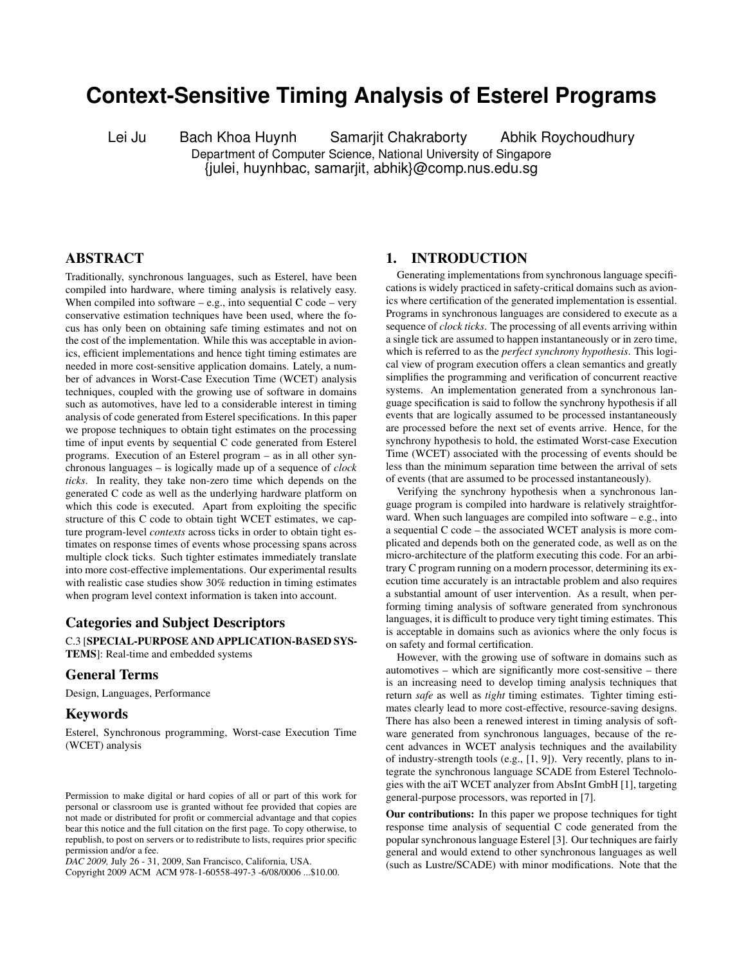# **Context-Sensitive Timing Analysis of Esterel Programs**

Lei Ju Bach Khoa Huynh Samarjit Chakraborty Abhik Roychoudhury Department of Computer Science, National University of Singapore {julei, huynhbac, samarjit, abhik}@comp.nus.edu.sg

# ABSTRACT

Traditionally, synchronous languages, such as Esterel, have been compiled into hardware, where timing analysis is relatively easy. When compiled into software – e.g., into sequential  $C$  code – very conservative estimation techniques have been used, where the focus has only been on obtaining safe timing estimates and not on the cost of the implementation. While this was acceptable in avionics, efficient implementations and hence tight timing estimates are needed in more cost-sensitive application domains. Lately, a number of advances in Worst-Case Execution Time (WCET) analysis techniques, coupled with the growing use of software in domains such as automotives, have led to a considerable interest in timing analysis of code generated from Esterel specifications. In this paper we propose techniques to obtain tight estimates on the processing time of input events by sequential C code generated from Esterel programs. Execution of an Esterel program – as in all other synchronous languages – is logically made up of a sequence of *clock ticks*. In reality, they take non-zero time which depends on the generated C code as well as the underlying hardware platform on which this code is executed. Apart from exploiting the specific structure of this C code to obtain tight WCET estimates, we capture program-level *contexts* across ticks in order to obtain tight estimates on response times of events whose processing spans across multiple clock ticks. Such tighter estimates immediately translate into more cost-effective implementations. Our experimental results with realistic case studies show 30% reduction in timing estimates when program level context information is taken into account.

# Categories and Subject Descriptors

C.3 [SPECIAL-PURPOSE AND APPLICATION-BASED SYS-TEMS]: Real-time and embedded systems

#### General Terms

Design, Languages, Performance

# Keywords

Esterel, Synchronous programming, Worst-case Execution Time (WCET) analysis

*DAC 2009,* July 26 - 31, 2009, San Francisco, California, USA.

Copyright 2009 ACM ACM 978-1-60558-497-3 -6/08/0006 ...\$10.00.

# 1. INTRODUCTION

Generating implementations from synchronous language specifications is widely practiced in safety-critical domains such as avionics where certification of the generated implementation is essential. Programs in synchronous languages are considered to execute as a sequence of *clock ticks*. The processing of all events arriving within a single tick are assumed to happen instantaneously or in zero time, which is referred to as the *perfect synchrony hypothesis*. This logical view of program execution offers a clean semantics and greatly simplifies the programming and verification of concurrent reactive systems. An implementation generated from a synchronous language specification is said to follow the synchrony hypothesis if all events that are logically assumed to be processed instantaneously are processed before the next set of events arrive. Hence, for the synchrony hypothesis to hold, the estimated Worst-case Execution Time (WCET) associated with the processing of events should be less than the minimum separation time between the arrival of sets of events (that are assumed to be processed instantaneously).

Verifying the synchrony hypothesis when a synchronous language program is compiled into hardware is relatively straightforward. When such languages are compiled into software – e.g., into a sequential C code – the associated WCET analysis is more complicated and depends both on the generated code, as well as on the micro-architecture of the platform executing this code. For an arbitrary C program running on a modern processor, determining its execution time accurately is an intractable problem and also requires a substantial amount of user intervention. As a result, when performing timing analysis of software generated from synchronous languages, it is difficult to produce very tight timing estimates. This is acceptable in domains such as avionics where the only focus is on safety and formal certification.

However, with the growing use of software in domains such as automotives – which are significantly more cost-sensitive – there is an increasing need to develop timing analysis techniques that return *safe* as well as *tight* timing estimates. Tighter timing estimates clearly lead to more cost-effective, resource-saving designs. There has also been a renewed interest in timing analysis of software generated from synchronous languages, because of the recent advances in WCET analysis techniques and the availability of industry-strength tools (e.g., [1, 9]). Very recently, plans to integrate the synchronous language SCADE from Esterel Technologies with the aiT WCET analyzer from AbsInt GmbH [1], targeting general-purpose processors, was reported in [7].

Our contributions: In this paper we propose techniques for tight response time analysis of sequential C code generated from the popular synchronous language Esterel [3]. Our techniques are fairly general and would extend to other synchronous languages as well (such as Lustre/SCADE) with minor modifications. Note that the

Permission to make digital or hard copies of all or part of this work for personal or classroom use is granted without fee provided that copies are not made or distributed for profit or commercial advantage and that copies bear this notice and the full citation on the first page. To copy otherwise, to republish, to post on servers or to redistribute to lists, requires prior specific permission and/or a fee.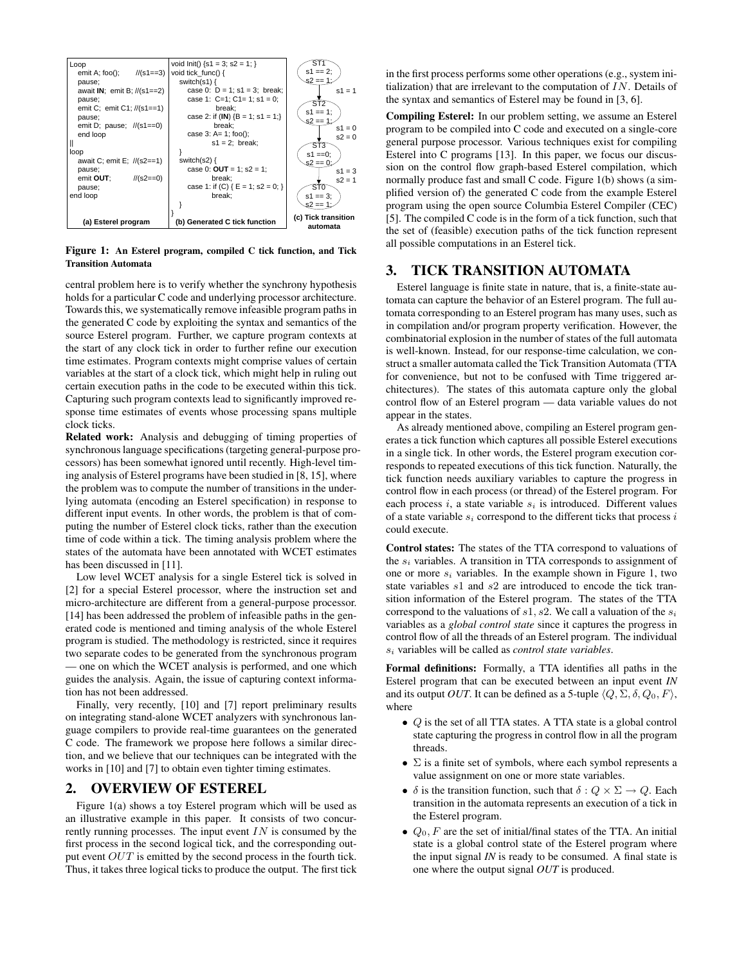

Figure 1: An Esterel program, compiled C tick function, and Tick Transition Automata

central problem here is to verify whether the synchrony hypothesis holds for a particular C code and underlying processor architecture. Towards this, we systematically remove infeasible program paths in the generated C code by exploiting the syntax and semantics of the source Esterel program. Further, we capture program contexts at the start of any clock tick in order to further refine our execution time estimates. Program contexts might comprise values of certain variables at the start of a clock tick, which might help in ruling out certain execution paths in the code to be executed within this tick. Capturing such program contexts lead to significantly improved response time estimates of events whose processing spans multiple clock ticks.

Related work: Analysis and debugging of timing properties of synchronous language specifications (targeting general-purpose processors) has been somewhat ignored until recently. High-level timing analysis of Esterel programs have been studied in [8, 15], where the problem was to compute the number of transitions in the underlying automata (encoding an Esterel specification) in response to different input events. In other words, the problem is that of computing the number of Esterel clock ticks, rather than the execution time of code within a tick. The timing analysis problem where the states of the automata have been annotated with WCET estimates has been discussed in [11].

Low level WCET analysis for a single Esterel tick is solved in [2] for a special Esterel processor, where the instruction set and micro-architecture are different from a general-purpose processor. [14] has been addressed the problem of infeasible paths in the generated code is mentioned and timing analysis of the whole Esterel program is studied. The methodology is restricted, since it requires two separate codes to be generated from the synchronous program — one on which the WCET analysis is performed, and one which guides the analysis. Again, the issue of capturing context information has not been addressed.

Finally, very recently, [10] and [7] report preliminary results on integrating stand-alone WCET analyzers with synchronous language compilers to provide real-time guarantees on the generated C code. The framework we propose here follows a similar direction, and we believe that our techniques can be integrated with the works in [10] and [7] to obtain even tighter timing estimates.

#### 2. OVERVIEW OF ESTEREL

Figure 1(a) shows a toy Esterel program which will be used as an illustrative example in this paper. It consists of two concurrently running processes. The input event  $IN$  is consumed by the first process in the second logical tick, and the corresponding output event OUT is emitted by the second process in the fourth tick. Thus, it takes three logical ticks to produce the output. The first tick

in the first process performs some other operations (e.g., system initialization) that are irrelevant to the computation of  $IN$ . Details of the syntax and semantics of Esterel may be found in [3, 6].

Compiling Esterel: In our problem setting, we assume an Esterel program to be compiled into C code and executed on a single-core general purpose processor. Various techniques exist for compiling Esterel into C programs [13]. In this paper, we focus our discussion on the control flow graph-based Esterel compilation, which normally produce fast and small C code. Figure 1(b) shows (a simplified version of) the generated C code from the example Esterel program using the open source Columbia Esterel Compiler (CEC) [5]. The compiled C code is in the form of a tick function, such that the set of (feasible) execution paths of the tick function represent all possible computations in an Esterel tick.

### 3. TICK TRANSITION AUTOMATA

Esterel language is finite state in nature, that is, a finite-state automata can capture the behavior of an Esterel program. The full automata corresponding to an Esterel program has many uses, such as in compilation and/or program property verification. However, the combinatorial explosion in the number of states of the full automata is well-known. Instead, for our response-time calculation, we construct a smaller automata called the Tick Transition Automata (TTA for convenience, but not to be confused with Time triggered architectures). The states of this automata capture only the global control flow of an Esterel program — data variable values do not appear in the states.

As already mentioned above, compiling an Esterel program generates a tick function which captures all possible Esterel executions in a single tick. In other words, the Esterel program execution corresponds to repeated executions of this tick function. Naturally, the tick function needs auxiliary variables to capture the progress in control flow in each process (or thread) of the Esterel program. For each process i, a state variable  $s_i$  is introduced. Different values of a state variable  $s_i$  correspond to the different ticks that process i could execute.

Control states: The states of the TTA correspond to valuations of the  $s_i$  variables. A transition in TTA corresponds to assignment of one or more  $s_i$  variables. In the example shown in Figure 1, two state variables s1 and s2 are introduced to encode the tick transition information of the Esterel program. The states of the TTA correspond to the valuations of  $s1$ ,  $s2$ . We call a valuation of the  $s<sub>i</sub>$ variables as a *global control state* since it captures the progress in control flow of all the threads of an Esterel program. The individual s<sup>i</sup> variables will be called as *control state variables*.

Formal definitions: Formally, a TTA identifies all paths in the Esterel program that can be executed between an input event *IN* and its output *OUT*. It can be defined as a 5-tuple  $\langle Q, \Sigma, \delta, Q_0, F \rangle$ , where

- $Q$  is the set of all TTA states. A TTA state is a global control state capturing the progress in control flow in all the program threads.
- $\Sigma$  is a finite set of symbols, where each symbol represents a value assignment on one or more state variables.
- $\delta$  is the transition function, such that  $\delta: Q \times \Sigma \to Q$ . Each transition in the automata represents an execution of a tick in the Esterel program.
- $Q_0$ , F are the set of initial/final states of the TTA. An initial state is a global control state of the Esterel program where the input signal *IN* is ready to be consumed. A final state is one where the output signal *OUT* is produced.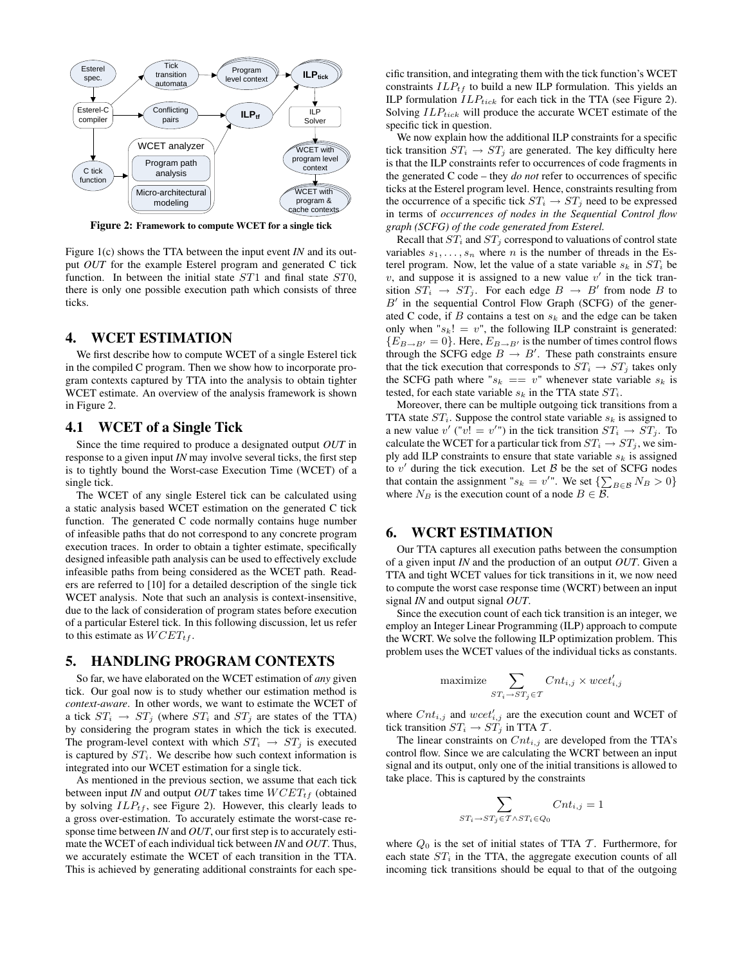

Figure 2: Framework to compute WCET for a single tick

Figure 1(c) shows the TTA between the input event *IN* and its output *OUT* for the example Esterel program and generated C tick function. In between the initial state  $ST1$  and final state  $ST0$ , there is only one possible execution path which consists of three ticks.

#### 4. WCET ESTIMATION

We first describe how to compute WCET of a single Esterel tick in the compiled C program. Then we show how to incorporate program contexts captured by TTA into the analysis to obtain tighter WCET estimate. An overview of the analysis framework is shown in Figure 2.

#### 4.1 WCET of a Single Tick

Since the time required to produce a designated output *OUT* in response to a given input *IN* may involve several ticks, the first step is to tightly bound the Worst-case Execution Time (WCET) of a single tick.

The WCET of any single Esterel tick can be calculated using a static analysis based WCET estimation on the generated C tick function. The generated C code normally contains huge number of infeasible paths that do not correspond to any concrete program execution traces. In order to obtain a tighter estimate, specifically designed infeasible path analysis can be used to effectively exclude infeasible paths from being considered as the WCET path. Readers are referred to [10] for a detailed description of the single tick WCET analysis. Note that such an analysis is context-insensitive, due to the lack of consideration of program states before execution of a particular Esterel tick. In this following discussion, let us refer to this estimate as  $WCEPT_{tf}$ .

### 5. HANDLING PROGRAM CONTEXTS

So far, we have elaborated on the WCET estimation of *any* given tick. Our goal now is to study whether our estimation method is *context-aware*. In other words, we want to estimate the WCET of a tick  $ST_i \rightarrow ST_j$  (where  $ST_i$  and  $ST_j$  are states of the TTA) by considering the program states in which the tick is executed. The program-level context with which  $ST_i \rightarrow ST_j$  is executed is captured by  $ST_i$ . We describe how such context information is integrated into our WCET estimation for a single tick.

As mentioned in the previous section, we assume that each tick between input *IN* and output *OUT* takes time  $WCEPT_{tf}$  (obtained by solving  $ILP_{tf}$ , see Figure 2). However, this clearly leads to a gross over-estimation. To accurately estimate the worst-case response time between *IN* and *OUT*, our first step is to accurately estimate the WCET of each individual tick between *IN* and *OUT*. Thus, we accurately estimate the WCET of each transition in the TTA. This is achieved by generating additional constraints for each specific transition, and integrating them with the tick function's WCET constraints  $ILP_{tf}$  to build a new ILP formulation. This yields an ILP formulation  $ILP_{tick}$  for each tick in the TTA (see Figure 2). Solving  $ILP_{tick}$  will produce the accurate WCET estimate of the specific tick in question.

We now explain how the additional ILP constraints for a specific tick transition  $ST_i \rightarrow ST_j$  are generated. The key difficulty here is that the ILP constraints refer to occurrences of code fragments in the generated C code – they *do not* refer to occurrences of specific ticks at the Esterel program level. Hence, constraints resulting from the occurrence of a specific tick  $ST_i \rightarrow ST_j$  need to be expressed in terms of *occurrences of nodes in the Sequential Control flow graph (SCFG) of the code generated from Esterel.*

Recall that  $ST_i$  and  $ST_j$  correspond to valuations of control state variables  $s_1, \ldots, s_n$  where n is the number of threads in the Esterel program. Now, let the value of a state variable  $s_k$  in  $ST_i$  be  $v$ , and suppose it is assigned to a new value  $v'$  in the tick transition  $ST_i \rightarrow ST_j$ . For each edge  $B \rightarrow B'$  from node B to  $B'$  in the sequential Control Flow Graph (SCFG) of the generated C code, if B contains a test on  $s_k$  and the edge can be taken only when " $s_k! = v$ ", the following ILP constraint is generated:  ${E_{B\rightarrow B'}=0}$ . Here,  $E_{B\rightarrow B'}$  is the number of times control flows through the SCFG edge  $B \to B'$ . These path constraints ensure that the tick execution that corresponds to  $ST_i \rightarrow ST_j$  takes only the SCFG path where " $s_k == v$ " whenever state variable  $s_k$  is tested, for each state variable  $s_k$  in the TTA state  $ST_i$ .

Moreover, there can be multiple outgoing tick transitions from a TTA state  $ST_i$ . Suppose the control state variable  $s_k$  is assigned to a new value  $v'$  (" $v! = v'$ ") in the tick transition  $ST_i \rightarrow ST_j$ . To calculate the WCET for a particular tick from  $ST_i \rightarrow ST_j$ , we simply add ILP constraints to ensure that state variable  $s_k$  is assigned to  $v'$  during the tick execution. Let  $\beta$  be the set of SCFG nodes that contain the assignment " $s_k = v''$ . We set  $\{\sum_{B \in \mathcal{B}} N_B > 0\}$ where  $N_B$  is the execution count of a node  $B \in \overline{B}$ .

#### 6. WCRT ESTIMATION

Our TTA captures all execution paths between the consumption of a given input *IN* and the production of an output *OUT*. Given a TTA and tight WCET values for tick transitions in it, we now need to compute the worst case response time (WCRT) between an input signal *IN* and output signal *OUT*.

Since the execution count of each tick transition is an integer, we employ an Integer Linear Programming (ILP) approach to compute the WCRT. We solve the following ILP optimization problem. This problem uses the WCET values of the individual ticks as constants.

$$
\text{maximize } \sum_{ST_i \to ST_j \in \mathcal{T}} \text{Cnt}_{i,j} \times \text{wcet}'_{i,j}
$$

where  $Cnt_{i,j}$  and  $wcet'_{i,j}$  are the execution count and WCET of tick transition  $ST_i \rightarrow ST_j$  in TTA  $T$ .

The linear constraints on  $Cnt_{i,j}$  are developed from the TTA's control flow. Since we are calculating the WCRT between an input signal and its output, only one of the initial transitions is allowed to take place. This is captured by the constraints

$$
\sum_{ST_i \to ST_j \in T \land ST_i \in Q_0} Cnt_{i,j} = 1
$$

where  $Q_0$  is the set of initial states of TTA  $\mathcal T$ . Furthermore, for each state  $ST_i$  in the TTA, the aggregate execution counts of all incoming tick transitions should be equal to that of the outgoing